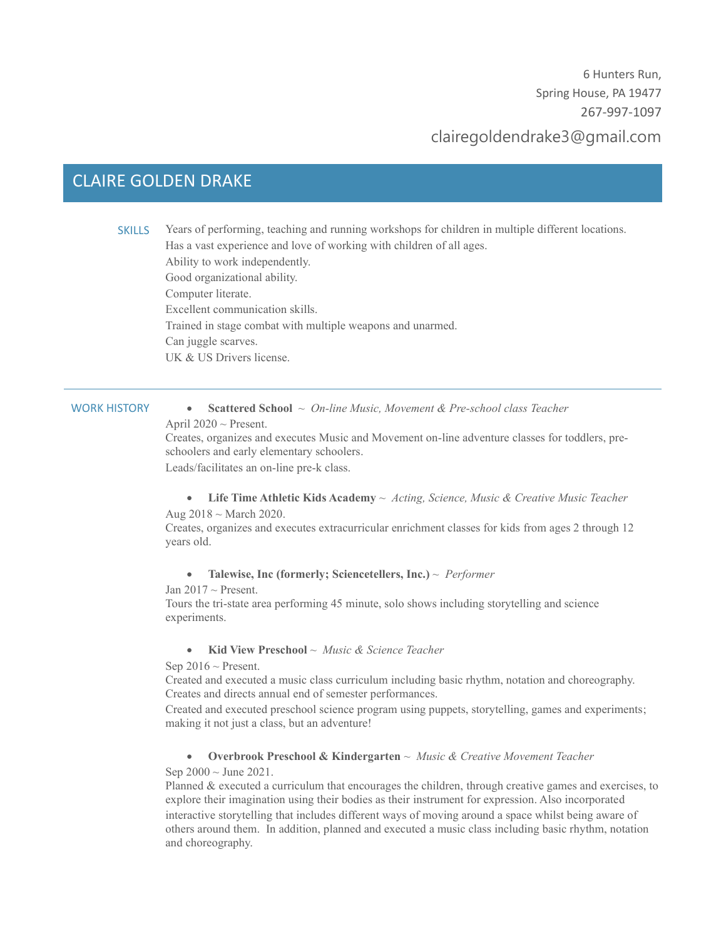6 Hunters Run, Spring House, PA 19477 267-997-1097

# clairegoldendrake3@gmail.com

## CLAIRE GOLDEN DRAKE

SKILLS Years of performing, teaching and running workshops for children in multiple different locations. Has a vast experience and love of working with children of all ages. Ability to work independently. Good organizational ability. Computer literate. Excellent communication skills. Trained in stage combat with multiple weapons and unarmed. Can juggle scarves. UK & US Drivers license.

WORK HISTORY • **Scattered School** ~ *On-line Music, Movement & Pre-school class Teacher*

April  $2020 \sim$  Present.

Creates, organizes and executes Music and Movement on-line adventure classes for toddlers, preschoolers and early elementary schoolers.

Leads/facilitates an on-line pre-k class.

#### • **Life Time Athletic Kids Academy** ~ *Acting, Science, Music & Creative Music Teacher* Aug 2018 ~ March 2020.

Creates, organizes and executes extracurricular enrichment classes for kids from ages 2 through 12 years old.

- **Talewise, Inc (formerly; Sciencetellers, Inc.)** ~ *Performer*
- Jan  $2017 \sim$  Present.

Tours the tri-state area performing 45 minute, solo shows including storytelling and science experiments.

#### • **Kid View Preschool** ~ *Music & Science Teacher*

Sep  $2016 \sim$  Present.

Created and executed a music class curriculum including basic rhythm, notation and choreography. Creates and directs annual end of semester performances.

Created and executed preschool science program using puppets, storytelling, games and experiments; making it not just a class, but an adventure!

#### • **Overbrook Preschool & Kindergarten** ~ *Music & Creative Movement Teacher*

Sep  $2000 \sim$  June 2021.

Planned & executed a curriculum that encourages the children, through creative games and exercises, to explore their imagination using their bodies as their instrument for expression. Also incorporated interactive storytelling that includes different ways of moving around a space whilst being aware of others around them. In addition, planned and executed a music class including basic rhythm, notation and choreography.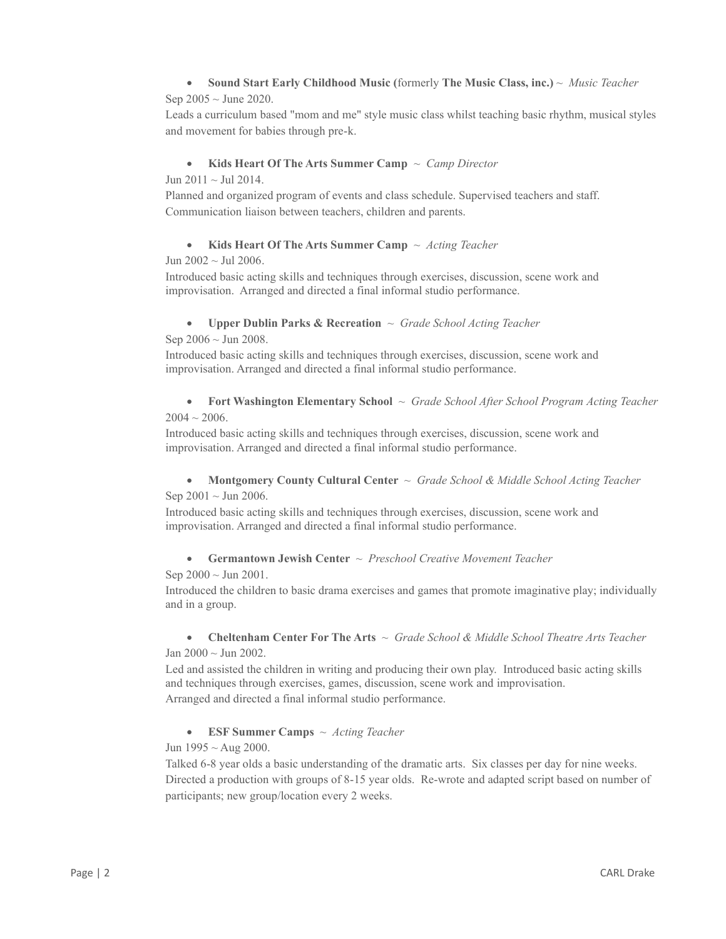### • **Sound Start Early Childhood Music (**formerly **The Music Class, inc.)** ~ *Music Teacher*  Sep  $2005 \sim$  June 2020.

Leads a curriculum based "mom and me" style music class whilst teaching basic rhythm, musical styles and movement for babies through pre-k.

#### • **Kids Heart Of The Arts Summer Camp** ~ *Camp Director*

Jun  $2011 \sim$  Jul 2014.

Planned and organized program of events and class schedule. Supervised teachers and staff. Communication liaison between teachers, children and parents.

#### • **Kids Heart Of The Arts Summer Camp** ~ *Acting Teacher*

Jun 2002 ~ Jul 2006.

Introduced basic acting skills and techniques through exercises, discussion, scene work and improvisation. Arranged and directed a final informal studio performance.

#### • **Upper Dublin Parks & Recreation** ~ *Grade School Acting Teacher*

Sep  $2006 \sim$  Jun 2008.

Introduced basic acting skills and techniques through exercises, discussion, scene work and improvisation. Arranged and directed a final informal studio performance.

#### • **Fort Washington Elementary School** ~ *Grade School After School Program Acting Teacher*  $2004 \sim 2006$ .

Introduced basic acting skills and techniques through exercises, discussion, scene work and improvisation. Arranged and directed a final informal studio performance.

#### • **Montgomery County Cultural Center** ~ *Grade School & Middle School Acting Teacher* Sep  $2001 \sim$  Jun 2006.

Introduced basic acting skills and techniques through exercises, discussion, scene work and improvisation. Arranged and directed a final informal studio performance.

#### • **Germantown Jewish Center** ~ *Preschool Creative Movement Teacher*

Sep  $2000 \sim$  Jun 2001.

Introduced the children to basic drama exercises and games that promote imaginative play; individually and in a group.

#### • **Cheltenham Center For The Arts** ~ *Grade School & Middle School Theatre Arts Teacher* Jan 2000 ~ Jun 2002.

Led and assisted the children in writing and producing their own play. Introduced basic acting skills and techniques through exercises, games, discussion, scene work and improvisation. Arranged and directed a final informal studio performance.

• **ESF Summer Camps** ~ *Acting Teacher*

Jun  $1995 \sim$  Aug 2000.

Talked 6-8 year olds a basic understanding of the dramatic arts. Six classes per day for nine weeks. Directed a production with groups of 8-15 year olds. Re-wrote and adapted script based on number of participants; new group/location every 2 weeks.